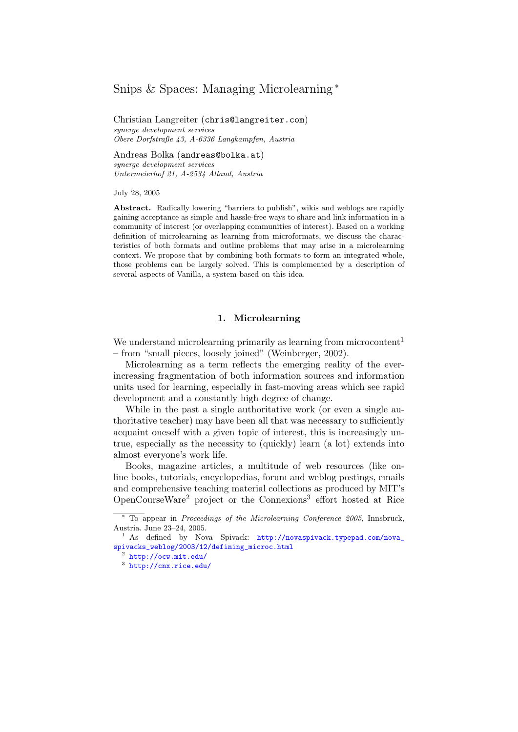# <span id="page-0-3"></span>Snips & Spaces: Managing Microlearning <sup>∗</sup>

Christian Langreiter (chris@langreiter.com) synerge development services Obere Dorfstraße 43, A-6336 Langkampfen, Austria

Andreas Bolka (andreas@bolka.at) synerge development services Untermeierhof 21, A-2534 Alland, Austria

July 28, 2005

Abstract. Radically lowering "barriers to publish", wikis and weblogs are rapidly gaining acceptance as simple and hassle-free ways to share and link information in a community of interest (or overlapping communities of interest). Based on a working definition of microlearning as learning from microformats, we discuss the characteristics of both formats and outline problems that may arise in a microlearning context. We propose that by combining both formats to form an integrated whole, those problems can be largely solved. This is complemented by a description of several aspects of Vanilla, a system based on this idea.

# 1. Microlearning

We understand microlearning primarily as learning from microcontent<sup>[1](#page-0-0)</sup> – from "small pieces, loosely joined" (Weinberger, 2002).

Microlearning as a term reflects the emerging reality of the everincreasing fragmentation of both information sources and information units used for learning, especially in fast-moving areas which see rapid development and a constantly high degree of change.

While in the past a single authoritative work (or even a single authoritative teacher) may have been all that was necessary to sufficiently acquaint oneself with a given topic of interest, this is increasingly untrue, especially as the necessity to (quickly) learn (a lot) extends into almost everyone's work life.

Books, magazine articles, a multitude of web resources (like online books, tutorials, encyclopedias, forum and weblog postings, emails and comprehensive teaching material collections as produced by MIT's OpenCourseWare<sup>[2](#page-0-1)</sup> project or the Connexions<sup>[3](#page-0-2)</sup> effort hosted at Rice

<sup>∗</sup> To appear in Proceedings of the Microlearning Conference 2005, Innsbruck, Austria. June 23–24, 2005.

<span id="page-0-0"></span><sup>&</sup>lt;sup>1</sup> As defined by Nova Spivack: [http://novaspivack.typepad.com/nova\\_](http://novaspivack.typepad.com/nova_spivacks_weblog/2003/12/defining_microc.html) [spivacks\\_weblog/2003/12/defining\\_microc.html](http://novaspivack.typepad.com/nova_spivacks_weblog/2003/12/defining_microc.html)

<span id="page-0-1"></span><sup>2</sup> <http://ocw.mit.edu/>

<span id="page-0-2"></span><sup>3</sup> <http://cnx.rice.edu/>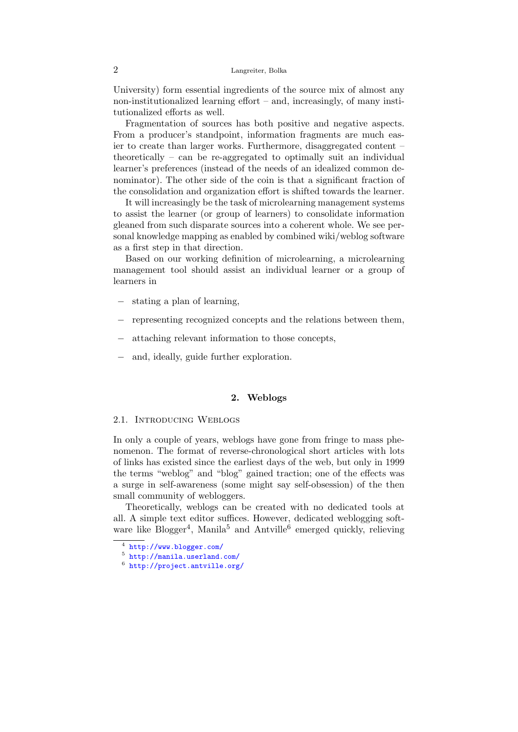University) form essential ingredients of the source mix of almost any non-institutionalized learning effort – and, increasingly, of many institutionalized efforts as well.

Fragmentation of sources has both positive and negative aspects. From a producer's standpoint, information fragments are much easier to create than larger works. Furthermore, disaggregated content – theoretically – can be re-aggregated to optimally suit an individual learner's preferences (instead of the needs of an idealized common denominator). The other side of the coin is that a significant fraction of the consolidation and organization effort is shifted towards the learner.

It will increasingly be the task of microlearning management systems to assist the learner (or group of learners) to consolidate information gleaned from such disparate sources into a coherent whole. We see personal knowledge mapping as enabled by combined wiki/weblog software as a first step in that direction.

Based on our working definition of microlearning, a microlearning management tool should assist an individual learner or a group of learners in

- stating a plan of learning,
- − representing recognized concepts and the relations between them,
- − attaching relevant information to those concepts,
- − and, ideally, guide further exploration.

# 2. Weblogs

#### 2.1. Introducing Weblogs

In only a couple of years, weblogs have gone from fringe to mass phenomenon. The format of reverse-chronological short articles with lots of links has existed since the earliest days of the web, but only in 1999 the terms "weblog" and "blog" gained traction; one of the effects was a surge in self-awareness (some might say self-obsession) of the then small community of webloggers.

Theoretically, weblogs can be created with no dedicated tools at all. A simple text editor suffices. However, dedicated weblogging soft-ware like Blogger<sup>[4](#page-1-0)</sup>, Manila<sup>[5](#page-1-1)</sup> and Antville<sup>[6](#page-1-2)</sup> emerged quickly, relieving

<span id="page-1-0"></span><sup>4</sup> <http://www.blogger.com/>

<span id="page-1-1"></span><sup>5</sup> <http://manila.userland.com/>

<span id="page-1-2"></span><sup>6</sup> <http://project.antville.org/>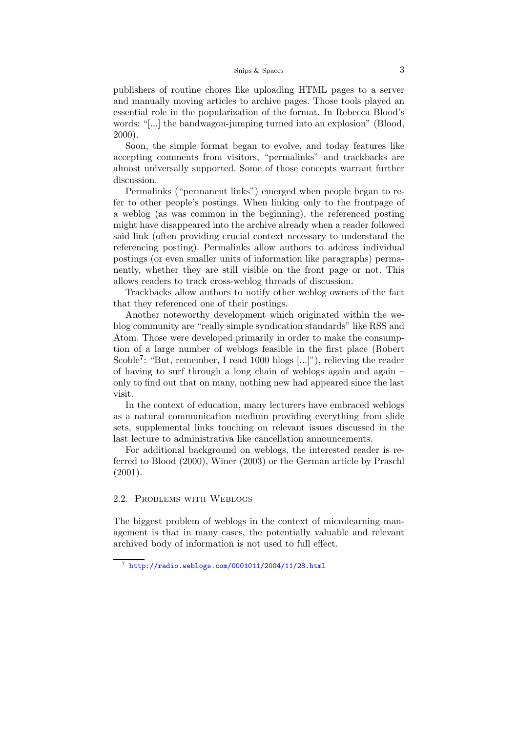publishers of routine chores like uploading HTML pages to a server and manually moving articles to archive pages. Those tools played an essential role in the popularization of the format. In Rebecca Blood's words: "[...] the bandwagon-jumping turned into an explosion" [\(Blood,](#page-0-3) [2000\)](#page-0-3).

Soon, the simple format began to evolve, and today features like accepting comments from visitors, "permalinks" and trackbacks are almost universally supported. Some of those concepts warrant further discussion.

Permalinks ("permanent links") emerged when people began to refer to other people's postings. When linking only to the frontpage of a weblog (as was common in the beginning), the referenced posting might have disappeared into the archive already when a reader followed said link (often providing crucial context necessary to understand the referencing posting). Permalinks allow authors to address individual postings (or even smaller units of information like paragraphs) permanently, whether they are still visible on the front page or not. This allows readers to track cross-weblog threads of discussion.

Trackbacks allow authors to notify other weblog owners of the fact that they referenced one of their postings.

Another noteworthy development which originated within the weblog community are "really simple syndication standards" like RSS and Atom. Those were developed primarily in order to make the consumption of a large number of weblogs feasible in the first place (Robert Scoble<sup>[7](#page-2-0)</sup>: "But, remember, I read 1000 blogs [...]"), relieving the reader of having to surf through a long chain of weblogs again and again – only to find out that on many, nothing new had appeared since the last visit.

In the context of education, many lecturers have embraced weblogs as a natural communication medium providing everything from slide sets, supplemental links touching on relevant issues discussed in the last lecture to administrativa like cancellation announcements.

For additional background on weblogs, the interested reader is referred to [Blood](#page-0-3) [\(2000\)](#page-0-3), [Winer](#page-0-3) [\(2003\)](#page-0-3) or the German article by [Praschl](#page-0-3) [\(2001\)](#page-0-3).

# 2.2. Problems with Weblogs

The biggest problem of weblogs in the context of microlearning management is that in many cases, the potentially valuable and relevant archived body of information is not used to full effect.

<span id="page-2-0"></span><sup>7</sup> <http://radio.weblogs.com/0001011/2004/11/28.html>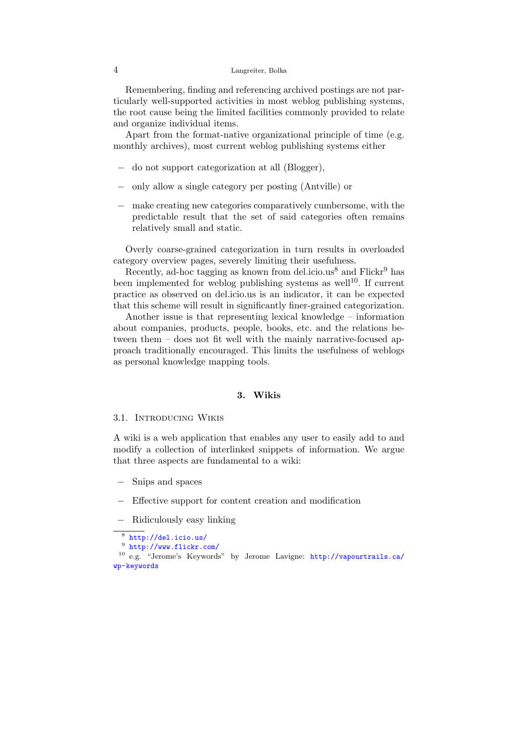Remembering, finding and referencing archived postings are not particularly well-supported activities in most weblog publishing systems, the root cause being the limited facilities commonly provided to relate and organize individual items.

Apart from the format-native organizational principle of time (e.g. monthly archives), most current weblog publishing systems either

- − do not support categorization at all (Blogger),
- − only allow a single category per posting (Antville) or
- − make creating new categories comparatively cumbersome, with the predictable result that the set of said categories often remains relatively small and static.

Overly coarse-grained categorization in turn results in overloaded category overview pages, severely limiting their usefulness.

Recently, ad-hoc tagging as known from del.icio.us<sup>[8](#page-3-0)</sup> and  $Flickr<sup>9</sup>$  $Flickr<sup>9</sup>$  $Flickr<sup>9</sup>$  has been implemented for weblog publishing systems as well<sup>[10](#page-3-2)</sup>. If current practice as observed on del.icio.us is an indicator, it can be expected that this scheme will result in significantly finer-grained categorization.

Another issue is that representing lexical knowledge – information about companies, products, people, books, etc. and the relations between them – does not fit well with the mainly narrative-focused approach traditionally encouraged. This limits the usefulness of weblogs as personal knowledge mapping tools.

### 3. Wikis

### 3.1. Introducing Wikis

A wiki is a web application that enables any user to easily add to and modify a collection of interlinked snippets of information. We argue that three aspects are fundamental to a wiki:

- − Snips and spaces
- − Effective support for content creation and modification
- − Ridiculously easy linking

<span id="page-3-2"></span><span id="page-3-1"></span>9 <http://www.flickr.com/>

<span id="page-3-0"></span><sup>8</sup> <http://del.icio.us/>

<sup>10</sup> e.g. "Jerome's Keywords" by Jerome Lavigne: [http://vapourtrails.ca/](http://vapourtrails.ca/wp-keywords) [wp-keywords](http://vapourtrails.ca/wp-keywords)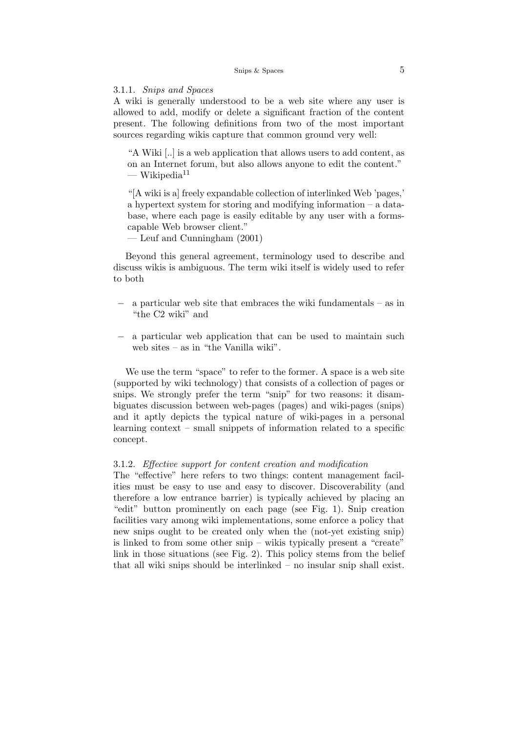3.1.1. Snips and Spaces

A wiki is generally understood to be a web site where any user is allowed to add, modify or delete a significant fraction of the content present. The following definitions from two of the most important sources regarding wikis capture that common ground very well:

"A Wiki [..] is a web application that allows users to add content, as on an Internet forum, but also allows anyone to edit the content."  $-$  Wikipedia<sup>[11](#page-5-0)</sup>

"[A wiki is a] freely expandable collection of interlinked Web 'pages,' a hypertext system for storing and modifying information – a database, where each page is easily editable by any user with a formscapable Web browser client."

— [Leuf and Cunningham](#page-0-3) [\(2001\)](#page-0-3)

Beyond this general agreement, terminology used to describe and discuss wikis is ambiguous. The term wiki itself is widely used to refer to both

- a particular web site that embraces the wiki fundamentals as in "the C2 wiki" and
- − a particular web application that can be used to maintain such web sites – as in "the Vanilla wiki".

We use the term "space" to refer to the former. A space is a web site (supported by wiki technology) that consists of a collection of pages or snips. We strongly prefer the term "snip" for two reasons: it disambiguates discussion between web-pages (pages) and wiki-pages (snips) and it aptly depicts the typical nature of wiki-pages in a personal learning context – small snippets of information related to a specific concept.

#### 3.1.2. Effective support for content creation and modification

The "effective" here refers to two things: content management facilities must be easy to use and easy to discover. Discoverability (and therefore a low entrance barrier) is typically achieved by placing an "edit" button prominently on each page (see Fig. [1\)](#page-0-3). Snip creation facilities vary among wiki implementations, some enforce a policy that new snips ought to be created only when the (not-yet existing snip) is linked to from some other snip – wikis typically present a "create" link in those situations (see Fig. [2\)](#page-0-3). This policy stems from the belief that all wiki snips should be interlinked – no insular snip shall exist.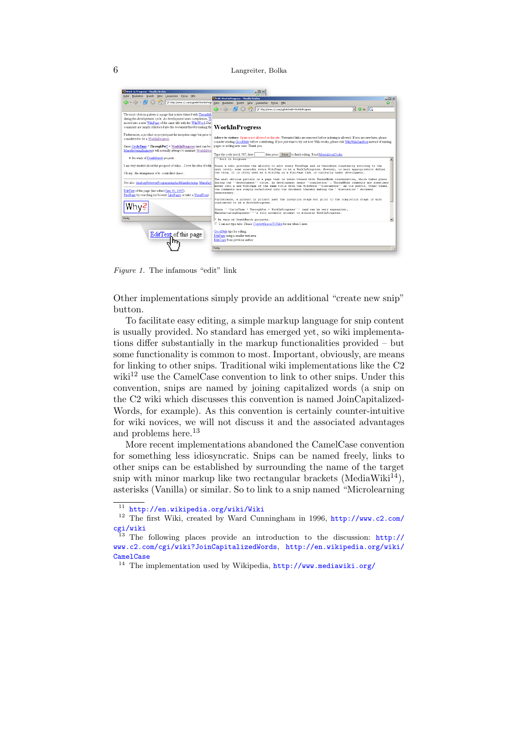

Figure 1. The infamous "edit" link

Other implementations simply provide an additional "create new snip" button.

To facilitate easy editing, a simple markup language for snip content is usually provided. No standard has emerged yet, so wiki implementations differ substantially in the markup functionalities provided – but some functionality is common to most. Important, obviously, are means for linking to other snips. Traditional wiki implementations like the C2 wiki<sup>[12](#page-5-1)</sup> use the CamelCase convention to link to other snips. Under this convention, snips are named by joining capitalized words (a snip on the C2 wiki which discusses this convention is named JoinCapitalized-Words, for example). As this convention is certainly counter-intuitive for wiki novices, we will not discuss it and the associated advantages and problems here.<sup>[13](#page-5-2)</sup>

More recent implementations abandoned the CamelCase convention for something less idiosyncratic. Snips can be named freely, links to other snips can be established by surrounding the name of the target snip with minor markup like two rectangular brackets (MediaWiki<sup>[14](#page-5-3)</sup>), asterisks (Vanilla) or similar. So to link to a snip named "Microlearning

<span id="page-5-1"></span><span id="page-5-0"></span><sup>11</sup> <http://en.wikipedia.org/wiki/Wiki>

<sup>&</sup>lt;sup>12</sup> The first Wiki, created by Ward Cunningham in 1996, [http://www.c2.com/](http://www.c2.com/cgi/wiki) [cgi/wiki](http://www.c2.com/cgi/wiki)

<span id="page-5-2"></span><sup>&</sup>lt;sup>13</sup> The following places provide an introduction to the discussion:  $\frac{http://}{http://}$  $\frac{http://}{http://}$  $\frac{http://}{http://}$ [www.c2.com/cgi/wiki?JoinCapitalizedWords](http://www.c2.com/cgi/wiki?JoinCapitalizedWords), [http://en.wikipedia.org/wiki/](http://en.wikipedia.org/wiki/CamelCase) **[CamelCase](http://en.wikipedia.org/wiki/CamelCase)** 

<span id="page-5-3"></span> $^{14}$  The implementation used by Wikipedia,  $\texttt{http://www.mediawiki.org/}$  $\texttt{http://www.mediawiki.org/}$  $\texttt{http://www.mediawiki.org/}$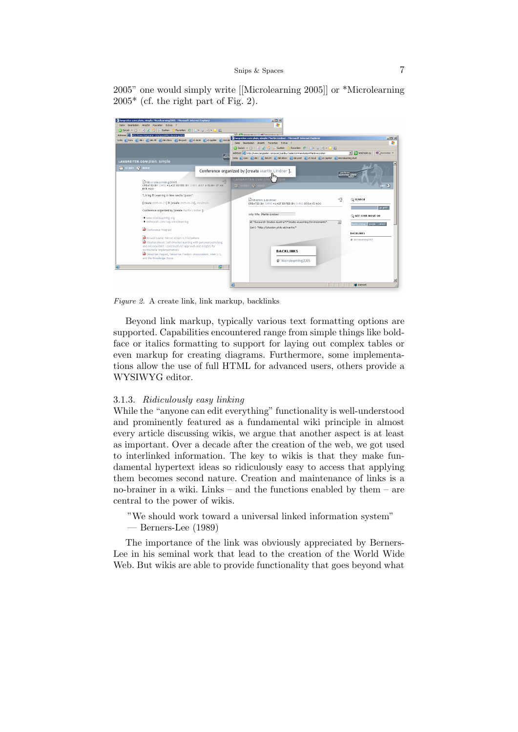2005" one would simply write [[Microlearning 2005]] or \*Microlearning  $2005^*$  (cf. the right part of Fig. [2\)](#page-0-3).



Figure 2. A create link, link markup, backlinks

Beyond link markup, typically various text formatting options are supported. Capabilities encountered range from simple things like boldface or italics formatting to support for laying out complex tables or even markup for creating diagrams. Furthermore, some implementations allow the use of full HTML for advanced users, others provide a WYSIWYG editor.

#### 3.1.3. Ridiculously easy linking

While the "anyone can edit everything" functionality is well-understood and prominently featured as a fundamental wiki principle in almost every article discussing wikis, we argue that another aspect is at least as important. Over a decade after the creation of the web, we got used to interlinked information. The key to wikis is that they make fundamental hypertext ideas so ridiculously easy to access that applying them becomes second nature. Creation and maintenance of links is a no-brainer in a wiki. Links – and the functions enabled by them – are central to the power of wikis.

- "We should work toward a universal linked information system"
- [Berners-Lee](#page-0-3) [\(1989\)](#page-0-3)

The importance of the link was obviously appreciated by Berners-Lee in his seminal work that lead to the creation of the World Wide Web. But wikis are able to provide functionality that goes beyond what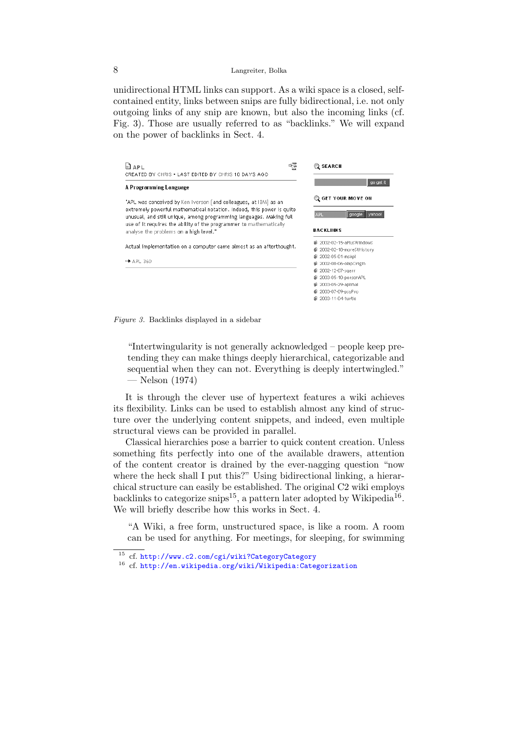unidirectional HTML links can support. As a wiki space is a closed, selfcontained entity, links between snips are fully bidirectional, i.e. not only outgoing links of any snip are known, but also the incoming links (cf. Fig. [3\)](#page-0-3). Those are usually referred to as "backlinks." We will expand on the power of backlinks in Sect. [4.](#page-0-3)





"Intertwingularity is not generally acknowledged – people keep pretending they can make things deeply hierarchical, categorizable and sequential when they can not. Everything is deeply intertwingled." — [Nelson](#page-0-3) [\(1974\)](#page-0-3)

It is through the clever use of hypertext features a wiki achieves its flexibility. Links can be used to establish almost any kind of structure over the underlying content snippets, and indeed, even multiple structural views can be provided in parallel.

Classical hierarchies pose a barrier to quick content creation. Unless something fits perfectly into one of the available drawers, attention of the content creator is drained by the ever-nagging question "now where the heck shall I put this?" Using bidirectional linking, a hierarchical structure can easily be established. The original C2 wiki employs backlinks to categorize snips<sup>[15](#page-7-0)</sup>, a pattern later adopted by Wikipedia<sup>[16](#page-7-1)</sup>. We will briefly describe how this works in Sect. [4.](#page-0-3)

"A Wiki, a free form, unstructured space, is like a room. A room can be used for anything. For meetings, for sleeping, for swimming

<span id="page-7-0"></span><sup>15</sup> cf. <http://www.c2.com/cgi/wiki?CategoryCategory>

<span id="page-7-1"></span><sup>16</sup> cf. <http://en.wikipedia.org/wiki/Wikipedia:Categorization>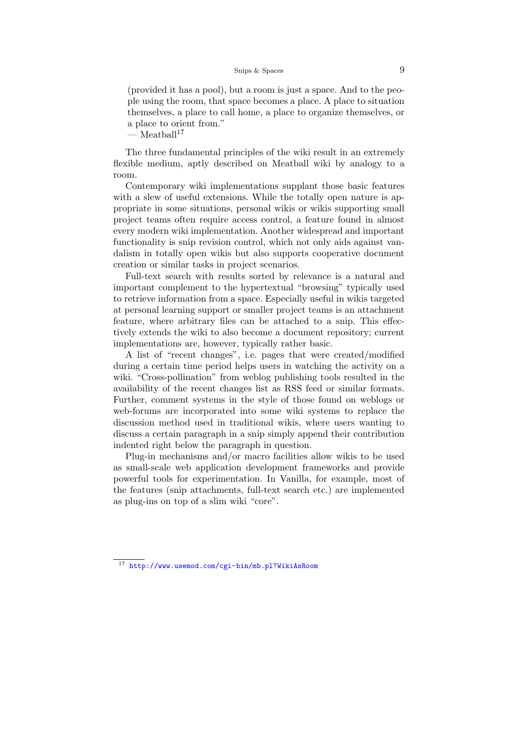#### Snips & Spaces 9

(provided it has a pool), but a room is just a space. And to the people using the room, that space becomes a place. A place to situation themselves, a place to call home, a place to organize themselves, or a place to orient from."

 $-$  Meatball<sup>[17](#page-8-0)</sup>

The three fundamental principles of the wiki result in an extremely flexible medium, aptly described on Meatball wiki by analogy to a room.

Contemporary wiki implementations supplant those basic features with a slew of useful extensions. While the totally open nature is appropriate in some situations, personal wikis or wikis supporting small project teams often require access control, a feature found in almost every modern wiki implementation. Another widespread and important functionality is snip revision control, which not only aids against vandalism in totally open wikis but also supports cooperative document creation or similar tasks in project scenarios.

Full-text search with results sorted by relevance is a natural and important complement to the hypertextual "browsing" typically used to retrieve information from a space. Especially useful in wikis targeted at personal learning support or smaller project teams is an attachment feature, where arbitrary files can be attached to a snip. This effectively extends the wiki to also become a document repository; current implementations are, however, typically rather basic.

A list of "recent changes", i.e. pages that were created/modified during a certain time period helps users in watching the activity on a wiki. "Cross-pollination" from weblog publishing tools resulted in the availability of the recent changes list as RSS feed or similar formats. Further, comment systems in the style of those found on weblogs or web-forums are incorporated into some wiki systems to replace the discussion method used in traditional wikis, where users wanting to discuss a certain paragraph in a snip simply append their contribution indented right below the paragraph in question.

Plug-in mechanisms and/or macro facilities allow wikis to be used as small-scale web application development frameworks and provide powerful tools for experimentation. In Vanilla, for example, most of the features (snip attachments, full-text search etc.) are implemented as plug-ins on top of a slim wiki "core".

<span id="page-8-0"></span><sup>17</sup> <http://www.usemod.com/cgi-bin/mb.pl?WikiAsRoom>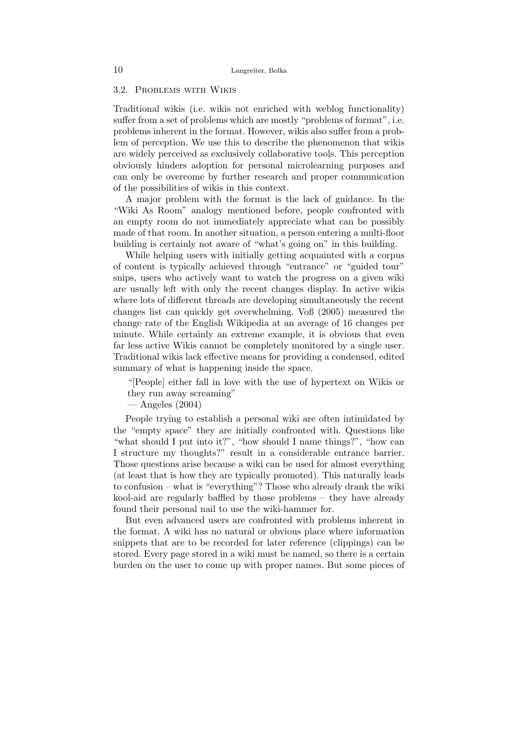### 3.2. Problems with Wikis

Traditional wikis (i.e. wikis not enriched with weblog functionality) suffer from a set of problems which are mostly "problems of format", i.e. problems inherent in the format. However, wikis also suffer from a problem of perception. We use this to describe the phenomenon that wikis are widely perceived as exclusively collaborative tools. This perception obviously hinders adoption for personal microlearning purposes and can only be overcome by further research and proper communication of the possibilities of wikis in this context.

A major problem with the format is the lack of guidance. In the "Wiki As Room" analogy mentioned before, people confronted with an empty room do not immediately appreciate what can be possibly made of that room. In another situation, a person entering a multi-floor building is certainly not aware of "what's going on" in this building.

While helping users with initially getting acquainted with a corpus of content is typically achieved through "entrance" or "guided tour" snips, users who actively want to watch the progress on a given wiki are usually left with only the recent changes display. In active wikis where lots of different threads are developing simultaneously the recent changes list can quickly get overwhelming. [Voß](#page-0-3) [\(2005\)](#page-0-3) measured the change rate of the English Wikipedia at an average of 16 changes per minute. While certainly an extreme example, it is obvious that even far less active Wikis cannot be completely monitored by a single user. Traditional wikis lack effective means for providing a condensed, edited summary of what is happening inside the space.

"[People] either fall in love with the use of hypertext on Wikis or they run away screaming"

— [Angeles](#page-0-3) [\(2004\)](#page-0-3)

People trying to establish a personal wiki are often intimidated by the "empty space" they are initially confronted with. Questions like "what should I put into it?", "how should I name things?", "how can I structure my thoughts?" result in a considerable entrance barrier. Those questions arise because a wiki can be used for almost everything (at least that is how they are typically promoted). This naturally leads to confusion – what is "everything"? Those who already drank the wiki kool-aid are regularly baffled by those problems – they have already found their personal nail to use the wiki-hammer for.

But even advanced users are confronted with problems inherent in the format. A wiki has no natural or obvious place where information snippets that are to be recorded for later reference (clippings) can be stored. Every page stored in a wiki must be named, so there is a certain burden on the user to come up with proper names. But some pieces of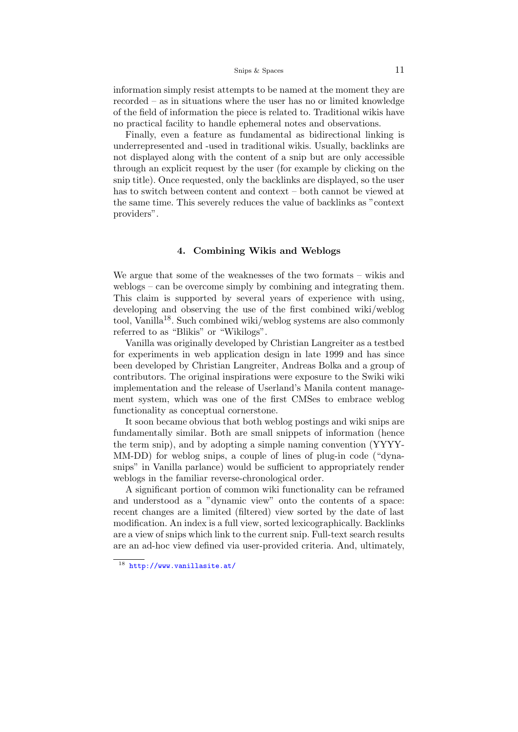#### Snips & Spaces 11

information simply resist attempts to be named at the moment they are recorded – as in situations where the user has no or limited knowledge of the field of information the piece is related to. Traditional wikis have no practical facility to handle ephemeral notes and observations.

Finally, even a feature as fundamental as bidirectional linking is underrepresented and -used in traditional wikis. Usually, backlinks are not displayed along with the content of a snip but are only accessible through an explicit request by the user (for example by clicking on the snip title). Once requested, only the backlinks are displayed, so the user has to switch between content and context – both cannot be viewed at the same time. This severely reduces the value of backlinks as "context providers".

# 4. Combining Wikis and Weblogs

We argue that some of the weaknesses of the two formats – wikis and weblogs – can be overcome simply by combining and integrating them. This claim is supported by several years of experience with using, developing and observing the use of the first combined wiki/weblog tool, Vanilla[18](#page-10-0). Such combined wiki/weblog systems are also commonly referred to as "Blikis" or "Wikilogs".

Vanilla was originally developed by Christian Langreiter as a testbed for experiments in web application design in late 1999 and has since been developed by Christian Langreiter, Andreas Bolka and a group of contributors. The original inspirations were exposure to the Swiki wiki implementation and the release of Userland's Manila content management system, which was one of the first CMSes to embrace weblog functionality as conceptual cornerstone.

It soon became obvious that both weblog postings and wiki snips are fundamentally similar. Both are small snippets of information (hence the term snip), and by adopting a simple naming convention (YYYY-MM-DD) for weblog snips, a couple of lines of plug-in code ("dynasnips" in Vanilla parlance) would be sufficient to appropriately render weblogs in the familiar reverse-chronological order.

A significant portion of common wiki functionality can be reframed and understood as a "dynamic view" onto the contents of a space: recent changes are a limited (filtered) view sorted by the date of last modification. An index is a full view, sorted lexicographically. Backlinks are a view of snips which link to the current snip. Full-text search results are an ad-hoc view defined via user-provided criteria. And, ultimately,

<span id="page-10-0"></span><sup>18</sup> <http://www.vanillasite.at/>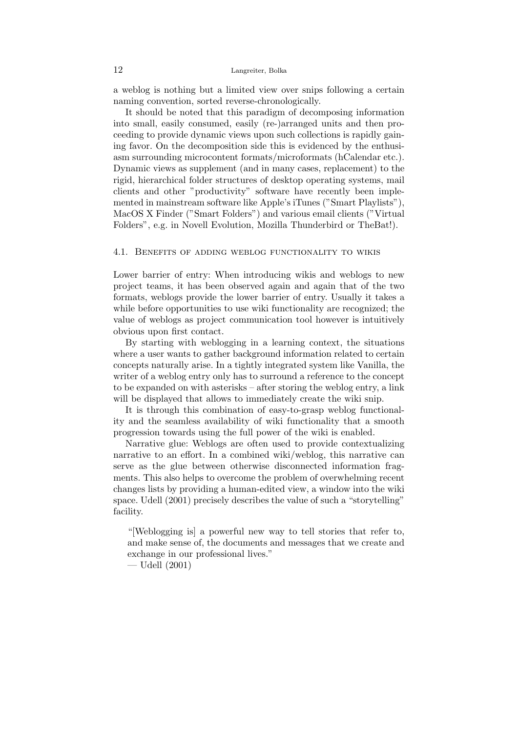a weblog is nothing but a limited view over snips following a certain naming convention, sorted reverse-chronologically.

It should be noted that this paradigm of decomposing information into small, easily consumed, easily (re-)arranged units and then proceeding to provide dynamic views upon such collections is rapidly gaining favor. On the decomposition side this is evidenced by the enthusiasm surrounding microcontent formats/microformats (hCalendar etc.). Dynamic views as supplement (and in many cases, replacement) to the rigid, hierarchical folder structures of desktop operating systems, mail clients and other "productivity" software have recently been implemented in mainstream software like Apple's iTunes ("Smart Playlists"), MacOS X Finder ("Smart Folders") and various email clients ("Virtual Folders", e.g. in Novell Evolution, Mozilla Thunderbird or TheBat!).

### 4.1. Benefits of adding weblog functionality to wikis

Lower barrier of entry: When introducing wikis and weblogs to new project teams, it has been observed again and again that of the two formats, weblogs provide the lower barrier of entry. Usually it takes a while before opportunities to use wiki functionality are recognized; the value of weblogs as project communication tool however is intuitively obvious upon first contact.

By starting with weblogging in a learning context, the situations where a user wants to gather background information related to certain concepts naturally arise. In a tightly integrated system like Vanilla, the writer of a weblog entry only has to surround a reference to the concept to be expanded on with asterisks – after storing the weblog entry, a link will be displayed that allows to immediately create the wiki snip.

It is through this combination of easy-to-grasp weblog functionality and the seamless availability of wiki functionality that a smooth progression towards using the full power of the wiki is enabled.

Narrative glue: Weblogs are often used to provide contextualizing narrative to an effort. In a combined wiki/weblog, this narrative can serve as the glue between otherwise disconnected information fragments. This also helps to overcome the problem of overwhelming recent changes lists by providing a human-edited view, a window into the wiki space. [Udell](#page-0-3) [\(2001\)](#page-0-3) precisely describes the value of such a "storytelling" facility.

"[Weblogging is] a powerful new way to tell stories that refer to, and make sense of, the documents and messages that we create and exchange in our professional lives."

— [Udell](#page-0-3) [\(2001\)](#page-0-3)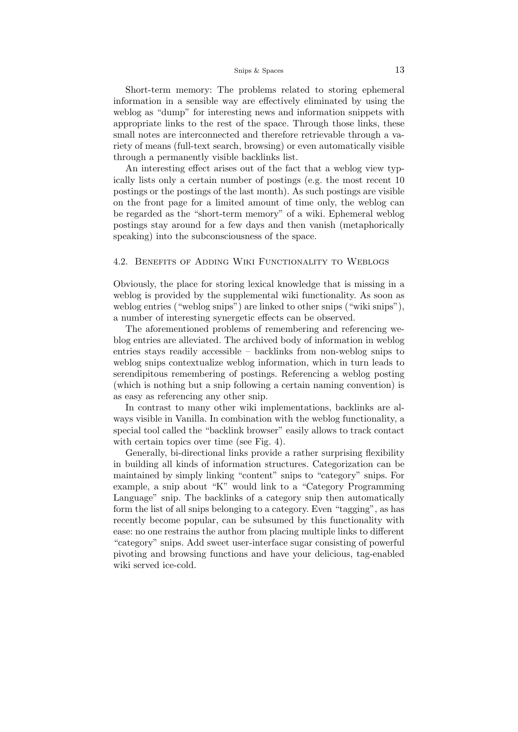#### Snips & Spaces 13

Short-term memory: The problems related to storing ephemeral information in a sensible way are effectively eliminated by using the weblog as "dump" for interesting news and information snippets with appropriate links to the rest of the space. Through those links, these small notes are interconnected and therefore retrievable through a variety of means (full-text search, browsing) or even automatically visible through a permanently visible backlinks list.

An interesting effect arises out of the fact that a weblog view typically lists only a certain number of postings (e.g. the most recent 10 postings or the postings of the last month). As such postings are visible on the front page for a limited amount of time only, the weblog can be regarded as the "short-term memory" of a wiki. Ephemeral weblog postings stay around for a few days and then vanish (metaphorically speaking) into the subconsciousness of the space.

# 4.2. Benefits of Adding Wiki Functionality to Weblogs

Obviously, the place for storing lexical knowledge that is missing in a weblog is provided by the supplemental wiki functionality. As soon as weblog entries ("weblog snips") are linked to other snips ("wiki snips"), a number of interesting synergetic effects can be observed.

The aforementioned problems of remembering and referencing weblog entries are alleviated. The archived body of information in weblog entries stays readily accessible – backlinks from non-weblog snips to weblog snips contextualize weblog information, which in turn leads to serendipitous remembering of postings. Referencing a weblog posting (which is nothing but a snip following a certain naming convention) is as easy as referencing any other snip.

In contrast to many other wiki implementations, backlinks are always visible in Vanilla. In combination with the weblog functionality, a special tool called the "backlink browser" easily allows to track contact with certain topics over time (see Fig. [4\)](#page-0-3).

Generally, bi-directional links provide a rather surprising flexibility in building all kinds of information structures. Categorization can be maintained by simply linking "content" snips to "category" snips. For example, a snip about "K" would link to a "Category Programming Language" snip. The backlinks of a category snip then automatically form the list of all snips belonging to a category. Even "tagging", as has recently become popular, can be subsumed by this functionality with ease: no one restrains the author from placing multiple links to different "category" snips. Add sweet user-interface sugar consisting of powerful pivoting and browsing functions and have your delicious, tag-enabled wiki served ice-cold.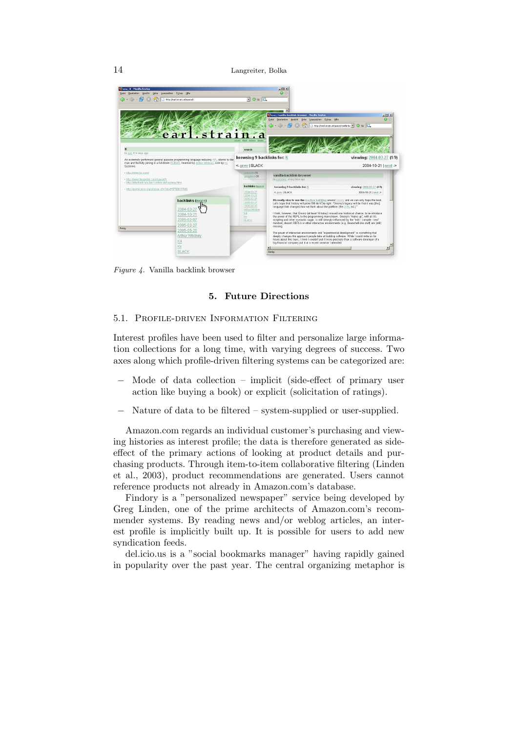

Figure 4. Vanilla backlink browser

# 5. Future Directions

### 5.1. Profile-driven Information Filtering

Interest profiles have been used to filter and personalize large information collections for a long time, with varying degrees of success. Two axes along which profile-driven filtering systems can be categorized are:

- Mode of data collection implicit (side-effect of primary user action like buying a book) or explicit (solicitation of ratings).
- − Nature of data to be filtered system-supplied or user-supplied.

Amazon.com regards an individual customer's purchasing and viewing histories as interest profile; the data is therefore generated as sideeffect of the primary actions of looking at product details and purchasing products. Through item-to-item collaborative filtering [\(Linden](#page-0-3) [et al., 2003\)](#page-0-3), product recommendations are generated. Users cannot reference products not already in Amazon.com's database.

Findory is a "personalized newspaper" service being developed by Greg Linden, one of the prime architects of Amazon.com's recommender systems. By reading news and/or weblog articles, an interest profile is implicitly built up. It is possible for users to add new syndication feeds.

del.icio.us is a "social bookmarks manager" having rapidly gained in popularity over the past year. The central organizing metaphor is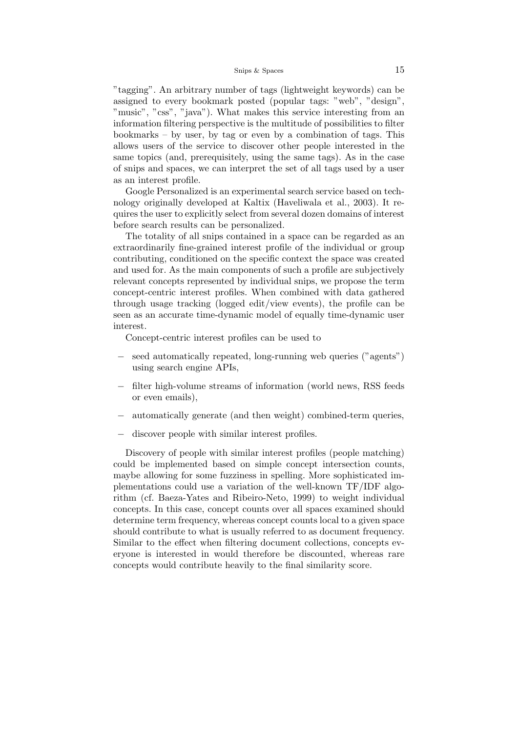"tagging". An arbitrary number of tags (lightweight keywords) can be assigned to every bookmark posted (popular tags: "web", "design", "music", "css", "java"). What makes this service interesting from an information filtering perspective is the multitude of possibilities to filter bookmarks – by user, by tag or even by a combination of tags. This allows users of the service to discover other people interested in the same topics (and, prerequisitely, using the same tags). As in the case of snips and spaces, we can interpret the set of all tags used by a user as an interest profile.

Google Personalized is an experimental search service based on technology originally developed at Kaltix [\(Haveliwala et al., 2003\)](#page-0-3). It requires the user to explicitly select from several dozen domains of interest before search results can be personalized.

The totality of all snips contained in a space can be regarded as an extraordinarily fine-grained interest profile of the individual or group contributing, conditioned on the specific context the space was created and used for. As the main components of such a profile are subjectively relevant concepts represented by individual snips, we propose the term concept-centric interest profiles. When combined with data gathered through usage tracking (logged edit/view events), the profile can be seen as an accurate time-dynamic model of equally time-dynamic user interest.

Concept-centric interest profiles can be used to

- − seed automatically repeated, long-running web queries ("agents") using search engine APIs,
- − filter high-volume streams of information (world news, RSS feeds or even emails),
- automatically generate (and then weight) combined-term queries,
- − discover people with similar interest profiles.

Discovery of people with similar interest profiles (people matching) could be implemented based on simple concept intersection counts, maybe allowing for some fuzziness in spelling. More sophisticated implementations could use a variation of the well-known TF/IDF algorithm (cf. [Baeza-Yates and Ribeiro-Neto,](#page-0-3) [1999\)](#page-0-3) to weight individual concepts. In this case, concept counts over all spaces examined should determine term frequency, whereas concept counts local to a given space should contribute to what is usually referred to as document frequency. Similar to the effect when filtering document collections, concepts everyone is interested in would therefore be discounted, whereas rare concepts would contribute heavily to the final similarity score.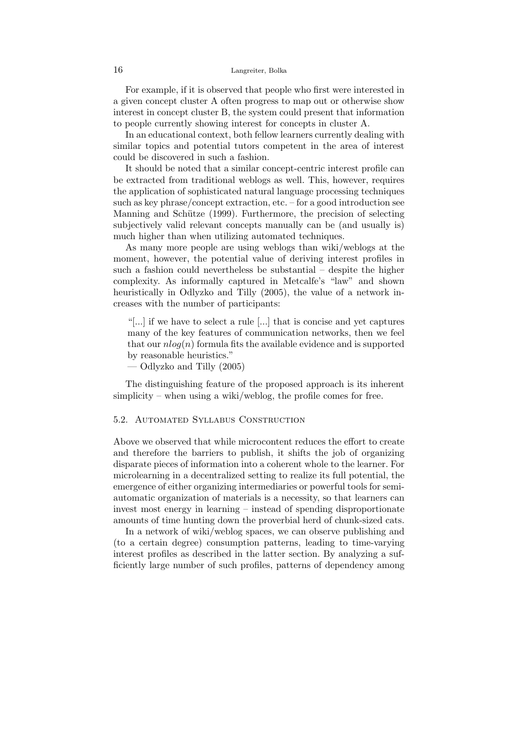For example, if it is observed that people who first were interested in a given concept cluster A often progress to map out or otherwise show interest in concept cluster B, the system could present that information to people currently showing interest for concepts in cluster A.

In an educational context, both fellow learners currently dealing with similar topics and potential tutors competent in the area of interest could be discovered in such a fashion.

It should be noted that a similar concept-centric interest profile can be extracted from traditional weblogs as well. This, however, requires the application of sophisticated natural language processing techniques such as key phrase/concept extraction, etc. – for a good introduction see Manning and Schütze [\(1999\)](#page-0-3). Furthermore, the precision of selecting subjectively valid relevant concepts manually can be (and usually is) much higher than when utilizing automated techniques.

As many more people are using weblogs than wiki/weblogs at the moment, however, the potential value of deriving interest profiles in such a fashion could nevertheless be substantial – despite the higher complexity. As informally captured in Metcalfe's "law" and shown heuristically in [Odlyzko and Tilly](#page-0-3) [\(2005\)](#page-0-3), the value of a network increases with the number of participants:

"[...] if we have to select a rule [...] that is concise and yet captures many of the key features of communication networks, then we feel that our  $nlog(n)$  formula fits the available evidence and is supported by reasonable heuristics."

— [Odlyzko and Tilly](#page-0-3) [\(2005\)](#page-0-3)

The distinguishing feature of the proposed approach is its inherent simplicity – when using a wiki/weblog, the profile comes for free.

### 5.2. Automated Syllabus Construction

Above we observed that while microcontent reduces the effort to create and therefore the barriers to publish, it shifts the job of organizing disparate pieces of information into a coherent whole to the learner. For microlearning in a decentralized setting to realize its full potential, the emergence of either organizing intermediaries or powerful tools for semiautomatic organization of materials is a necessity, so that learners can invest most energy in learning – instead of spending disproportionate amounts of time hunting down the proverbial herd of chunk-sized cats.

In a network of wiki/weblog spaces, we can observe publishing and (to a certain degree) consumption patterns, leading to time-varying interest profiles as described in the latter section. By analyzing a sufficiently large number of such profiles, patterns of dependency among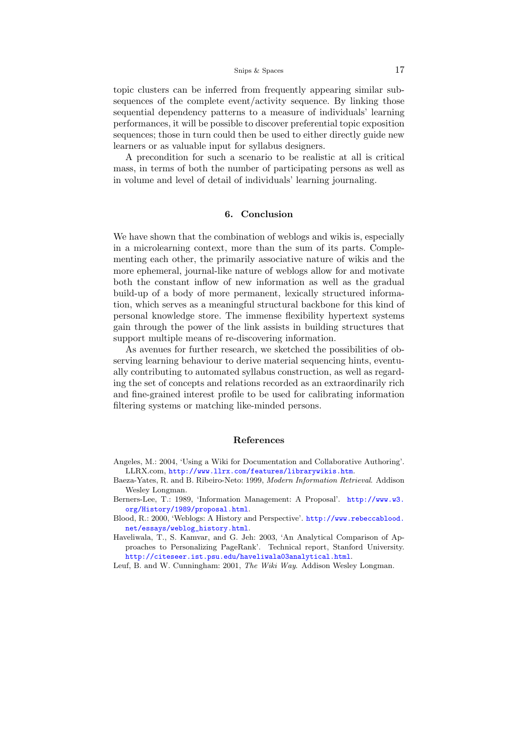topic clusters can be inferred from frequently appearing similar subsequences of the complete event/activity sequence. By linking those sequential dependency patterns to a measure of individuals' learning performances, it will be possible to discover preferential topic exposition sequences; those in turn could then be used to either directly guide new learners or as valuable input for syllabus designers.

A precondition for such a scenario to be realistic at all is critical mass, in terms of both the number of participating persons as well as in volume and level of detail of individuals' learning journaling.

# 6. Conclusion

We have shown that the combination of weblogs and wikis is, especially in a microlearning context, more than the sum of its parts. Complementing each other, the primarily associative nature of wikis and the more ephemeral, journal-like nature of weblogs allow for and motivate both the constant inflow of new information as well as the gradual build-up of a body of more permanent, lexically structured information, which serves as a meaningful structural backbone for this kind of personal knowledge store. The immense flexibility hypertext systems gain through the power of the link assists in building structures that support multiple means of re-discovering information.

As avenues for further research, we sketched the possibilities of observing learning behaviour to derive material sequencing hints, eventually contributing to automated syllabus construction, as well as regarding the set of concepts and relations recorded as an extraordinarily rich and fine-grained interest profile to be used for calibrating information filtering systems or matching like-minded persons.

#### References

- Angeles, M.: 2004, 'Using a Wiki for Documentation and Collaborative Authoring'. LLRX.com, <http://www.llrx.com/features/librarywikis.htm>.
- Baeza-Yates, R. and B. Ribeiro-Neto: 1999, Modern Information Retrieval. Addison Wesley Longman.
- Berners-Lee, T.: 1989, 'Information Management: A Proposal'. [http://www.w3.](http://www.w3.org/History/1989/proposal.html) [org/History/1989/proposal.html](http://www.w3.org/History/1989/proposal.html).
- Blood, R.: 2000, 'Weblogs: A History and Perspective'. [http://www.rebeccablood.](http://www.rebeccablood.net/essays/weblog_history.html) [net/essays/weblog\\_history.html](http://www.rebeccablood.net/essays/weblog_history.html).
- Haveliwala, T., S. Kamvar, and G. Jeh: 2003, 'An Analytical Comparison of Approaches to Personalizing PageRank'. Technical report, Stanford University. <http://citeseer.ist.psu.edu/haveliwala03analytical.html>.

Leuf, B. and W. Cunningham: 2001, The Wiki Way. Addison Wesley Longman.